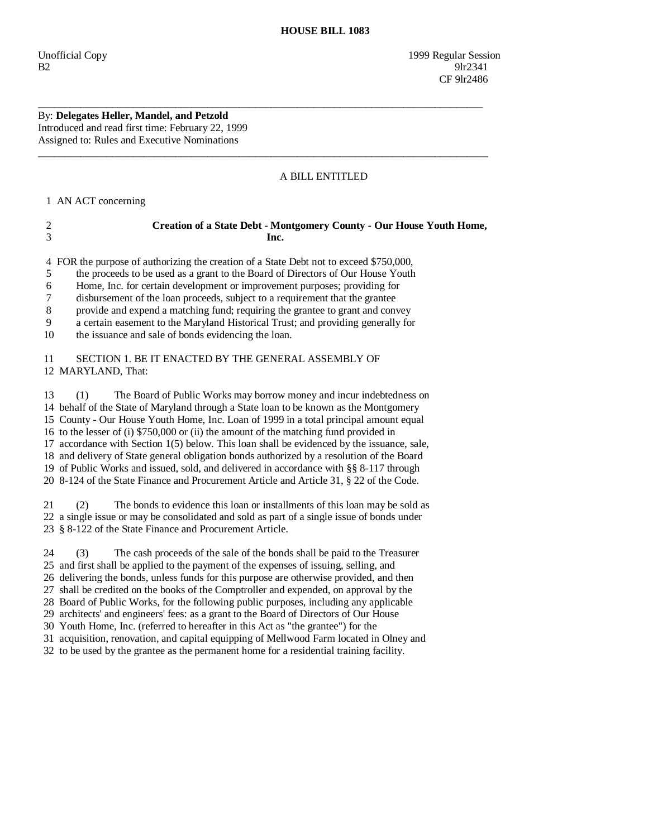## By: **Delegates Heller, Mandel, and Petzold**  Introduced and read first time: February 22, 1999

Assigned to: Rules and Executive Nominations

## A BILL ENTITLED

1 AN ACT concerning

| Creation of a State Debt - Montgomery County - Our House Youth Home, |
|----------------------------------------------------------------------|
| Inc.                                                                 |
|                                                                      |

\_\_\_\_\_\_\_\_\_\_\_\_\_\_\_\_\_\_\_\_\_\_\_\_\_\_\_\_\_\_\_\_\_\_\_\_\_\_\_\_\_\_\_\_\_\_\_\_\_\_\_\_\_\_\_\_\_\_\_\_\_\_\_\_\_\_\_\_\_\_\_\_\_\_\_\_\_\_\_\_\_\_\_\_

\_\_\_\_\_\_\_\_\_\_\_\_\_\_\_\_\_\_\_\_\_\_\_\_\_\_\_\_\_\_\_\_\_\_\_\_\_\_\_\_\_\_\_\_\_\_\_\_\_\_\_\_\_\_\_\_\_\_\_\_\_\_\_\_\_\_\_\_\_\_\_\_\_\_\_\_\_\_\_\_\_\_\_\_\_

4 FOR the purpose of authorizing the creation of a State Debt not to exceed \$750,000,

5 the proceeds to be used as a grant to the Board of Directors of Our House Youth

6 Home, Inc. for certain development or improvement purposes; providing for

7 disbursement of the loan proceeds, subject to a requirement that the grantee

8 provide and expend a matching fund; requiring the grantee to grant and convey

9 a certain easement to the Maryland Historical Trust; and providing generally for

10 the issuance and sale of bonds evidencing the loan.

 11 SECTION 1. BE IT ENACTED BY THE GENERAL ASSEMBLY OF 12 MARYLAND, That:

 13 (1) The Board of Public Works may borrow money and incur indebtedness on 14 behalf of the State of Maryland through a State loan to be known as the Montgomery 15 County - Our House Youth Home, Inc. Loan of 1999 in a total principal amount equal 16 to the lesser of (i) \$750,000 or (ii) the amount of the matching fund provided in 17 accordance with Section 1(5) below. This loan shall be evidenced by the issuance, sale, 18 and delivery of State general obligation bonds authorized by a resolution of the Board 19 of Public Works and issued, sold, and delivered in accordance with §§ 8-117 through 20 8-124 of the State Finance and Procurement Article and Article 31, § 22 of the Code.

 21 (2) The bonds to evidence this loan or installments of this loan may be sold as 22 a single issue or may be consolidated and sold as part of a single issue of bonds under 23 § 8-122 of the State Finance and Procurement Article.

24 (3) The cash proceeds of the sale of the bonds shall be paid to the Treasurer

25 and first shall be applied to the payment of the expenses of issuing, selling, and

26 delivering the bonds, unless funds for this purpose are otherwise provided, and then

 27 shall be credited on the books of the Comptroller and expended, on approval by the 28 Board of Public Works, for the following public purposes, including any applicable

29 architects' and engineers' fees: as a grant to the Board of Directors of Our House

30 Youth Home, Inc. (referred to hereafter in this Act as "the grantee") for the

31 acquisition, renovation, and capital equipping of Mellwood Farm located in Olney and

32 to be used by the grantee as the permanent home for a residential training facility.